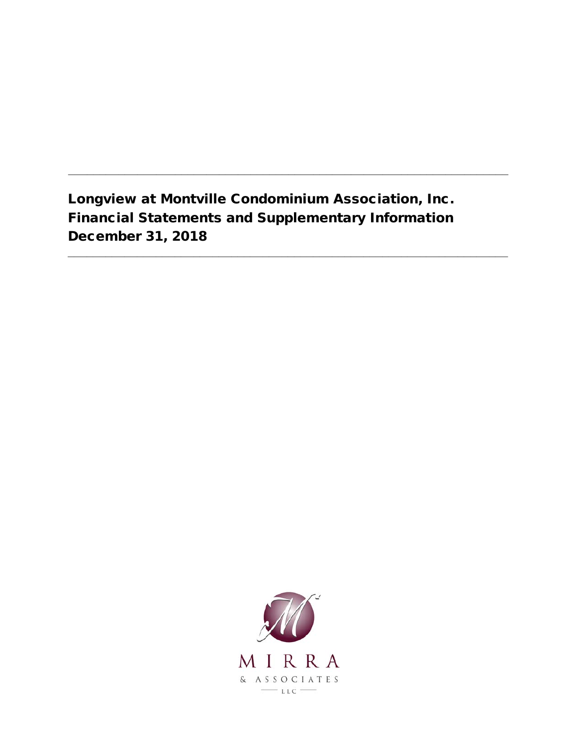Longview at Montville Condominium Association, Inc. Financial Statements and Supplementary Information December 31, 2018

**\_\_\_\_\_\_\_\_\_\_\_\_\_\_\_\_\_\_\_\_\_\_\_\_\_\_\_\_\_\_\_\_\_\_\_\_\_\_\_\_\_\_\_\_\_\_\_\_\_\_\_\_\_\_\_\_\_\_\_\_\_\_\_\_\_\_\_\_\_\_**

**\_\_\_\_\_\_\_\_\_\_\_\_\_\_\_\_\_\_\_\_\_\_\_\_\_\_\_\_\_\_\_\_\_\_\_\_\_\_\_\_\_\_\_\_\_\_\_\_\_\_\_\_\_\_\_\_\_\_\_\_\_\_\_\_\_\_\_\_\_\_**

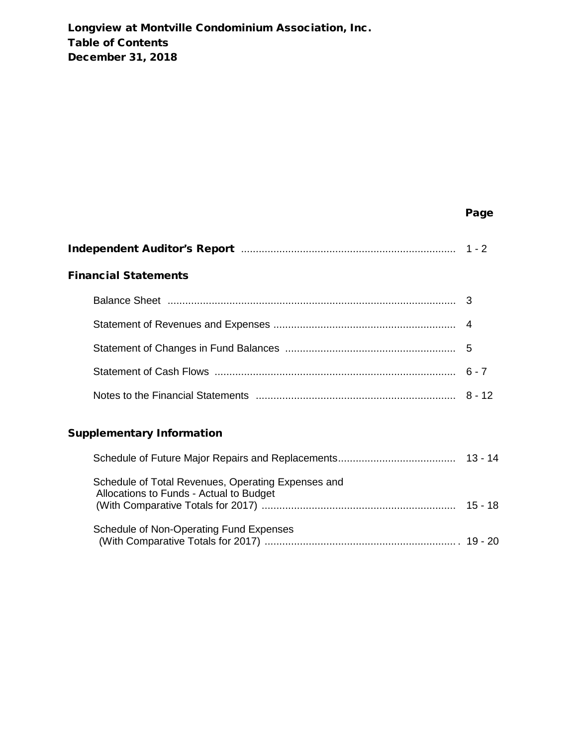#### **Page 2018 Page 2018 Page 2018**

| <b>Independent Auditor's Report machinesis and continuum control of 1-2</b>                   |  |
|-----------------------------------------------------------------------------------------------|--|
| <b>Financial Statements</b>                                                                   |  |
|                                                                                               |  |
|                                                                                               |  |
|                                                                                               |  |
|                                                                                               |  |
|                                                                                               |  |
| <b>Supplementary Information</b>                                                              |  |
|                                                                                               |  |
| Schedule of Total Revenues, Operating Expenses and<br>Allocations to Funds - Actual to Budget |  |
| Schedule of Non-Operating Fund Expenses                                                       |  |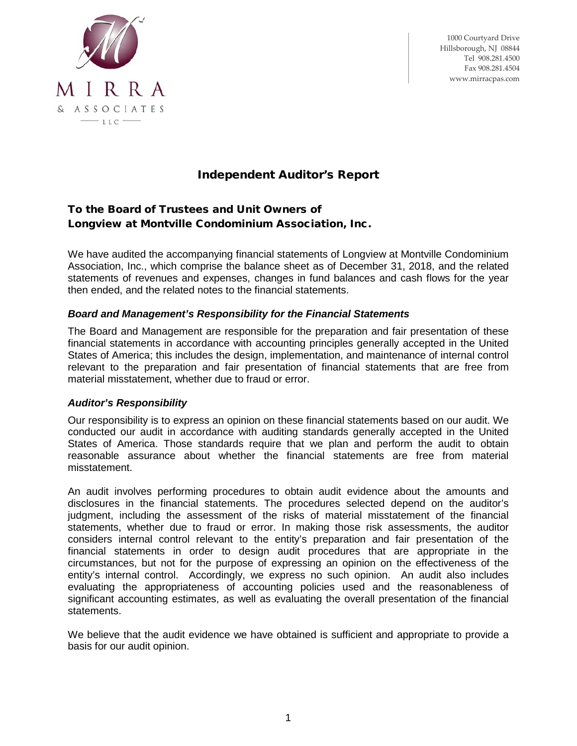

1000 Courtyard Drive Hillsborough, NJ 08844 Tel 908.281.4500 Fax 908.281.4504 www.mirracpas.com

# Independent Auditor's Report

### To the Board of Trustees and Unit Owners of Longview at Montville Condominium Association, Inc.

We have audited the accompanying financial statements of Longview at Montville Condominium Association, Inc., which comprise the balance sheet as of December 31, 2018, and the related statements of revenues and expenses, changes in fund balances and cash flows for the year then ended, and the related notes to the financial statements.

#### *Board and Management's Responsibility for the Financial Statements*

The Board and Management are responsible for the preparation and fair presentation of these financial statements in accordance with accounting principles generally accepted in the United States of America; this includes the design, implementation, and maintenance of internal control relevant to the preparation and fair presentation of financial statements that are free from material misstatement, whether due to fraud or error.

#### *Auditor's Responsibility*

Our responsibility is to express an opinion on these financial statements based on our audit. We conducted our audit in accordance with auditing standards generally accepted in the United States of America. Those standards require that we plan and perform the audit to obtain reasonable assurance about whether the financial statements are free from material misstatement.

An audit involves performing procedures to obtain audit evidence about the amounts and disclosures in the financial statements. The procedures selected depend on the auditor's judgment, including the assessment of the risks of material misstatement of the financial statements, whether due to fraud or error. In making those risk assessments, the auditor considers internal control relevant to the entity's preparation and fair presentation of the financial statements in order to design audit procedures that are appropriate in the circumstances, but not for the purpose of expressing an opinion on the effectiveness of the entity's internal control. Accordingly, we express no such opinion. An audit also includes evaluating the appropriateness of accounting policies used and the reasonableness of significant accounting estimates, as well as evaluating the overall presentation of the financial statements.

We believe that the audit evidence we have obtained is sufficient and appropriate to provide a basis for our audit opinion.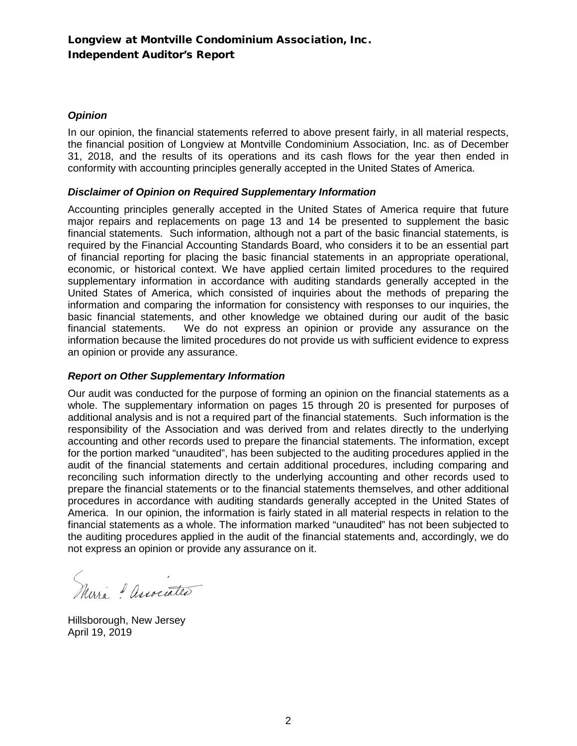### Longview at Montville Condominium Association, Inc. Independent Auditor's Report

#### *Opinion*

In our opinion, the financial statements referred to above present fairly, in all material respects, the financial position of Longview at Montville Condominium Association, Inc. as of December 31, 2018, and the results of its operations and its cash flows for the year then ended in conformity with accounting principles generally accepted in the United States of America.

#### *Disclaimer of Opinion on Required Supplementary Information*

Accounting principles generally accepted in the United States of America require that future major repairs and replacements on page 13 and 14 be presented to supplement the basic financial statements. Such information, although not a part of the basic financial statements, is required by the Financial Accounting Standards Board, who considers it to be an essential part of financial reporting for placing the basic financial statements in an appropriate operational, economic, or historical context. We have applied certain limited procedures to the required supplementary information in accordance with auditing standards generally accepted in the United States of America, which consisted of inquiries about the methods of preparing the information and comparing the information for consistency with responses to our inquiries, the basic financial statements, and other knowledge we obtained during our audit of the basic financial statements. We do not express an opinion or provide any assurance on the information because the limited procedures do not provide us with sufficient evidence to express an opinion or provide any assurance.

#### *Report on Other Supplementary Information*

Our audit was conducted for the purpose of forming an opinion on the financial statements as a whole. The supplementary information on pages 15 through 20 is presented for purposes of additional analysis and is not a required part of the financial statements. Such information is the responsibility of the Association and was derived from and relates directly to the underlying accounting and other records used to prepare the financial statements. The information, except for the portion marked "unaudited", has been subjected to the auditing procedures applied in the audit of the financial statements and certain additional procedures, including comparing and reconciling such information directly to the underlying accounting and other records used to prepare the financial statements or to the financial statements themselves, and other additional procedures in accordance with auditing standards generally accepted in the United States of America. In our opinion, the information is fairly stated in all material respects in relation to the financial statements as a whole. The information marked "unaudited" has not been subjected to the auditing procedures applied in the audit of the financial statements and, accordingly, we do not express an opinion or provide any assurance on it.

Nerra : Associates

Hillsborough, New Jersey April 19, 2019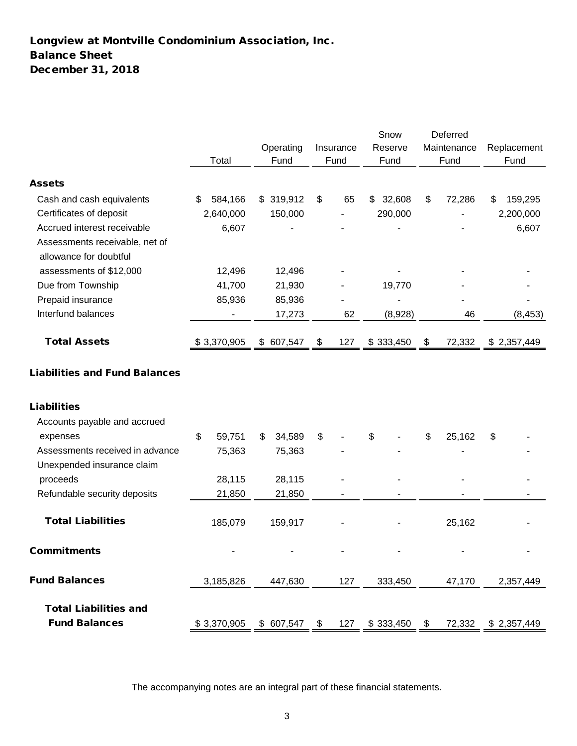# Longview at Montville Condominium Association, Inc. December 31, 2018 Balance Sheet

|                                                               |               |              |           | Snow         | Deferred                            |               |
|---------------------------------------------------------------|---------------|--------------|-----------|--------------|-------------------------------------|---------------|
|                                                               |               | Operating    | Insurance | Reserve      | Maintenance                         | Replacement   |
|                                                               | Total         | Fund         | Fund      | Fund         | Fund                                | Fund          |
| <b>Assets</b>                                                 |               |              |           |              |                                     |               |
| Cash and cash equivalents                                     | 584,166<br>\$ | \$319,912    | \$<br>65  | 32,608<br>\$ | \$<br>72,286                        | 159,295<br>\$ |
| Certificates of deposit                                       | 2,640,000     | 150,000      |           | 290,000      |                                     | 2,200,000     |
| Accrued interest receivable                                   | 6,607         |              |           |              |                                     | 6,607         |
| Assessments receivable, net of                                |               |              |           |              |                                     |               |
| allowance for doubtful                                        |               |              |           |              |                                     |               |
| assessments of \$12,000                                       | 12,496        | 12,496       |           |              |                                     |               |
| Due from Township                                             | 41,700        | 21,930       |           | 19,770       |                                     |               |
| Prepaid insurance                                             | 85,936        | 85,936       |           |              |                                     |               |
| Interfund balances                                            |               | 17,273       | 62        | (8,928)      | 46                                  | (8, 453)      |
|                                                               |               |              |           |              |                                     |               |
| <b>Total Assets</b>                                           | \$3,370,905   | \$607,547    | 127<br>\$ | \$333,450    | 72,332<br>$\boldsymbol{\mathsf{S}}$ | \$2,357,449   |
| <b>Liabilities and Fund Balances</b><br><b>Liabilities</b>    |               |              |           |              |                                     |               |
|                                                               |               |              |           |              |                                     |               |
| Accounts payable and accrued                                  |               |              |           |              |                                     |               |
| expenses                                                      | \$<br>59,751  | 34,589<br>\$ | \$        | \$           | \$<br>25,162                        | \$            |
| Assessments received in advance<br>Unexpended insurance claim | 75,363        | 75,363       |           |              |                                     |               |
| proceeds                                                      | 28,115        | 28,115       |           |              |                                     |               |
| Refundable security deposits                                  | 21,850        | 21,850       |           |              |                                     |               |
|                                                               |               |              |           |              |                                     |               |
| <b>Total Liabilities</b>                                      | 185,079       | 159,917      |           |              | 25,162                              |               |
| Commitments                                                   |               |              |           |              |                                     |               |
| <b>Fund Balances</b>                                          | 3,185,826     | 447,630      | 127       | 333,450      | 47,170                              | 2,357,449     |
| <b>Total Liabilities and</b>                                  |               |              |           |              |                                     |               |
| <b>Fund Balances</b>                                          | \$3,370,905   | \$607,547    | \$<br>127 | \$333,450    | 72,332<br>\$                        | \$2,357,449   |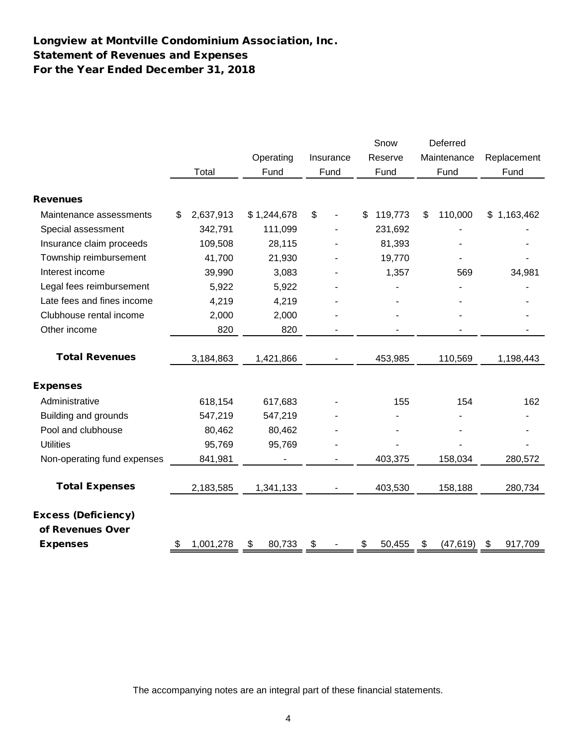## Longview at Montville Condominium Association, Inc. For the Year Ended December 31, 2018 Statement of Revenues and Expenses

|                             |                 |              |                              | Snow          | Deferred        |               |
|-----------------------------|-----------------|--------------|------------------------------|---------------|-----------------|---------------|
|                             |                 | Operating    | Insurance                    | Reserve       | Maintenance     | Replacement   |
|                             | Total           | Fund         | Fund                         | Fund          | Fund            | Fund          |
|                             |                 |              |                              |               |                 |               |
| <b>Revenues</b>             |                 |              |                              |               |                 |               |
| Maintenance assessments     | 2,637,913<br>\$ | \$1,244,678  | \$<br>٠                      | \$<br>119,773 | 110,000<br>\$   | \$1,163,462   |
| Special assessment          | 342,791         | 111,099      | $\blacksquare$               | 231,692       |                 |               |
| Insurance claim proceeds    | 109,508         | 28,115       |                              | 81,393        |                 |               |
| Township reimbursement      | 41,700          | 21,930       |                              | 19,770        |                 |               |
| Interest income             | 39,990          | 3,083        |                              | 1,357         | 569             | 34,981        |
| Legal fees reimbursement    | 5,922           | 5,922        |                              |               |                 |               |
| Late fees and fines income  | 4,219           | 4,219        |                              |               |                 |               |
| Clubhouse rental income     | 2,000           | 2,000        |                              |               |                 |               |
| Other income                | 820             | 820          |                              |               |                 |               |
| <b>Total Revenues</b>       | 3,184,863       | 1,421,866    | $\qquad \qquad \blacksquare$ | 453,985       | 110,569         | 1,198,443     |
| <b>Expenses</b>             |                 |              |                              |               |                 |               |
| Administrative              | 618,154         | 617,683      |                              | 155           | 154             | 162           |
| Building and grounds        | 547,219         | 547,219      |                              |               |                 |               |
| Pool and clubhouse          | 80,462          | 80,462       |                              |               |                 |               |
| <b>Utilities</b>            | 95,769          | 95,769       |                              |               |                 |               |
| Non-operating fund expenses | 841,981         |              |                              | 403,375       | 158,034         | 280,572       |
| <b>Total Expenses</b>       | 2,183,585       | 1,341,133    |                              | 403,530       | 158,188         | 280,734       |
| <b>Excess (Deficiency)</b>  |                 |              |                              |               |                 |               |
| of Revenues Over            |                 |              |                              |               |                 |               |
| <b>Expenses</b>             | 1,001,278<br>\$ | \$<br>80,733 | \$                           | 50,455<br>\$  | \$<br>(47, 619) | \$<br>917,709 |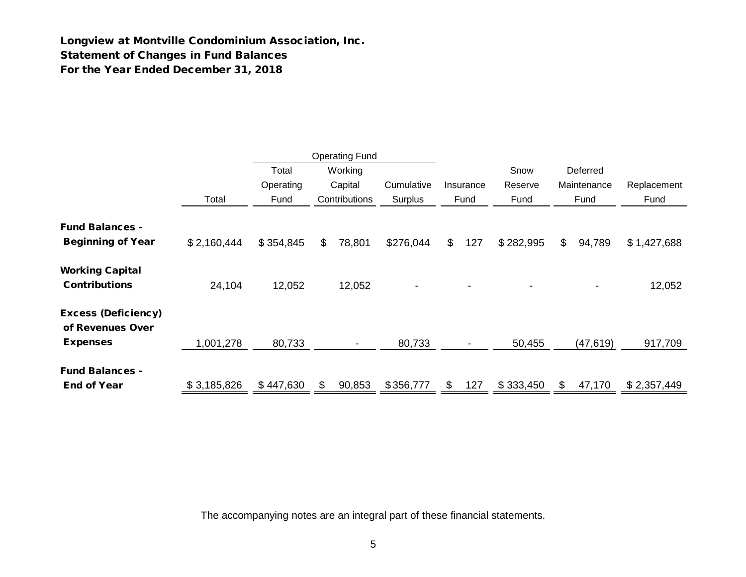# Longview at Montville Condominium Association, Inc. Statement of Changes in Fund Balances For the Year Ended December 31, 2018

|                                                |             |           | <b>Operating Fund</b> |            |           |           |              |             |
|------------------------------------------------|-------------|-----------|-----------------------|------------|-----------|-----------|--------------|-------------|
|                                                |             | Total     | Working               |            |           | Snow      | Deferred     |             |
|                                                |             | Operating | Capital               | Cumulative | Insurance | Reserve   | Maintenance  | Replacement |
|                                                | Total       | Fund      | Contributions         | Surplus    | Fund      | Fund      | Fund         | Fund        |
| <b>Fund Balances -</b>                         |             |           |                       |            |           |           |              |             |
| <b>Beginning of Year</b>                       | \$2,160,444 | \$354,845 | \$<br>78,801          | \$276,044  | \$<br>127 | \$282,995 | \$<br>94,789 | \$1,427,688 |
| <b>Working Capital</b><br><b>Contributions</b> | 24,104      | 12,052    | 12,052                |            |           |           |              | 12,052      |
|                                                |             |           |                       |            |           |           |              |             |
| <b>Excess (Deficiency)</b><br>of Revenues Over |             |           |                       |            |           |           |              |             |
| <b>Expenses</b>                                | 1,001,278   | 80,733    |                       | 80,733     |           | 50,455    | (47, 619)    | 917,709     |
| <b>Fund Balances -</b>                         |             |           |                       |            |           |           |              |             |
| <b>End of Year</b>                             | \$3,185,826 | \$447,630 | \$<br>90,853          | \$356,777  | \$<br>127 | \$333,450 | \$<br>47,170 | \$2,357,449 |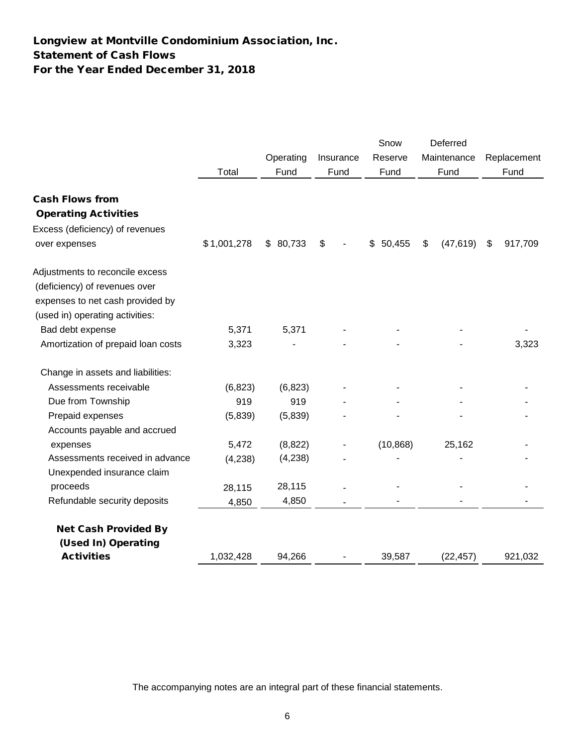# Longview at Montville Condominium Association, Inc. For the Year Ended December 31, 2018 Statement of Cash Flows

|                                    |             |           |           | Snow          | Deferred        |               |
|------------------------------------|-------------|-----------|-----------|---------------|-----------------|---------------|
|                                    |             | Operating | Insurance | Reserve       | Maintenance     | Replacement   |
|                                    | Total       | Fund      | Fund      | Fund          | Fund            | Fund          |
|                                    |             |           |           |               |                 |               |
| <b>Cash Flows from</b>             |             |           |           |               |                 |               |
| <b>Operating Activities</b>        |             |           |           |               |                 |               |
| Excess (deficiency) of revenues    |             |           |           |               |                 |               |
| over expenses                      | \$1,001,278 | \$80,733  | \$        | 50,455<br>\$. | \$<br>(47, 619) | \$<br>917,709 |
| Adjustments to reconcile excess    |             |           |           |               |                 |               |
| (deficiency) of revenues over      |             |           |           |               |                 |               |
| expenses to net cash provided by   |             |           |           |               |                 |               |
| (used in) operating activities:    |             |           |           |               |                 |               |
| Bad debt expense                   | 5,371       | 5,371     |           |               |                 |               |
| Amortization of prepaid loan costs | 3,323       |           |           |               |                 | 3,323         |
| Change in assets and liabilities:  |             |           |           |               |                 |               |
| Assessments receivable             | (6, 823)    | (6, 823)  |           |               |                 |               |
| Due from Township                  | 919         | 919       |           |               |                 |               |
| Prepaid expenses                   | (5,839)     | (5,839)   |           |               |                 |               |
| Accounts payable and accrued       |             |           |           |               |                 |               |
| expenses                           | 5,472       | (8,822)   |           | (10, 868)     | 25,162          |               |
| Assessments received in advance    | (4, 238)    | (4,238)   |           |               |                 |               |
| Unexpended insurance claim         |             |           |           |               |                 |               |
| proceeds                           | 28,115      | 28,115    |           |               |                 |               |
| Refundable security deposits       | 4,850       | 4,850     |           |               |                 |               |
| <b>Net Cash Provided By</b>        |             |           |           |               |                 |               |
| (Used In) Operating                |             |           |           |               |                 |               |
| <b>Activities</b>                  | 1,032,428   | 94,266    |           | 39,587        | (22, 457)       | 921,032       |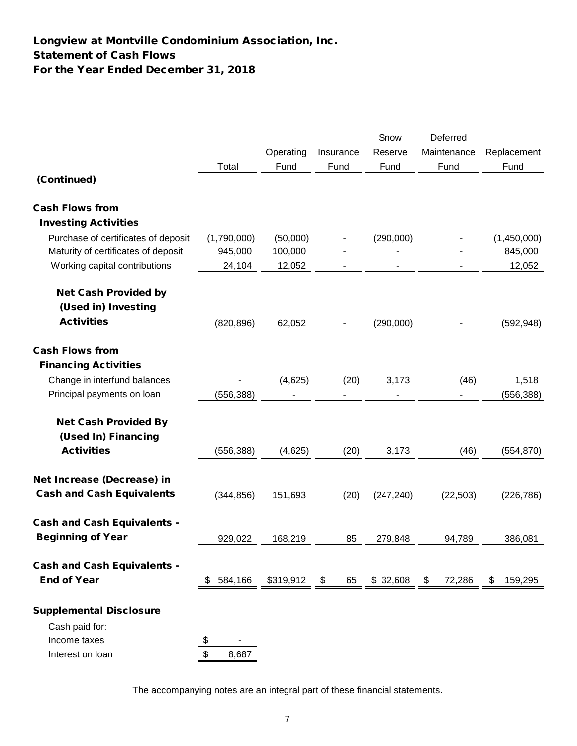# Statement of Cash Flows Longview at Montville Condominium Association, Inc. For the Year Ended December 31, 2018

|                                                          |             |           |                     | Snow       | Deferred     |               |
|----------------------------------------------------------|-------------|-----------|---------------------|------------|--------------|---------------|
|                                                          |             | Operating | Insurance           | Reserve    | Maintenance  | Replacement   |
|                                                          | Total       | Fund      | Fund                | Fund       | Fund         | Fund          |
| (Continued)                                              |             |           |                     |            |              |               |
| <b>Cash Flows from</b>                                   |             |           |                     |            |              |               |
| <b>Investing Activities</b>                              |             |           |                     |            |              |               |
| Purchase of certificates of deposit                      | (1,790,000) | (50,000)  |                     | (290,000)  |              | (1,450,000)   |
| Maturity of certificates of deposit                      | 945,000     | 100,000   |                     |            |              | 845,000       |
| Working capital contributions                            | 24,104      | 12,052    |                     |            |              | 12,052        |
| <b>Net Cash Provided by</b>                              |             |           |                     |            |              |               |
| (Used in) Investing                                      |             |           |                     |            |              |               |
| <b>Activities</b>                                        | (820, 896)  | 62,052    |                     | (290,000)  |              | (592, 948)    |
| <b>Cash Flows from</b>                                   |             |           |                     |            |              |               |
| <b>Financing Activities</b>                              |             |           |                     |            |              |               |
| Change in interfund balances                             |             | (4,625)   | (20)                | 3,173      | (46)         | 1,518         |
| Principal payments on loan                               | (556, 388)  |           |                     |            |              | (556, 388)    |
|                                                          |             |           |                     |            |              |               |
| <b>Net Cash Provided By</b><br>(Used In) Financing       |             |           |                     |            |              |               |
| <b>Activities</b>                                        | (556, 388)  | (4,625)   | (20)                | 3,173      | (46)         | (554, 870)    |
|                                                          |             |           |                     |            |              |               |
| Net Increase (Decrease) in                               |             |           |                     |            |              |               |
| <b>Cash and Cash Equivalents</b>                         | (344, 856)  | 151,693   | (20)                | (247, 240) | (22, 503)    | (226, 786)    |
| <b>Cash and Cash Equivalents -</b>                       |             |           |                     |            |              |               |
| <b>Beginning of Year</b>                                 | 929,022     | 168,219   | 85                  | 279,848    | 94,789       | 386,081       |
|                                                          |             |           |                     |            |              |               |
| <b>Cash and Cash Equivalents -</b><br><b>End of Year</b> |             |           |                     |            |              |               |
|                                                          | 584,166     | \$319,912 | 65<br>$\mathcal{S}$ | \$32,608   | 72,286<br>\$ | \$<br>159,295 |
| <b>Supplemental Disclosure</b>                           |             |           |                     |            |              |               |
| Cash paid for:                                           |             |           |                     |            |              |               |
| Income taxes                                             | \$          |           |                     |            |              |               |
| Interest on loan                                         | 8,687       |           |                     |            |              |               |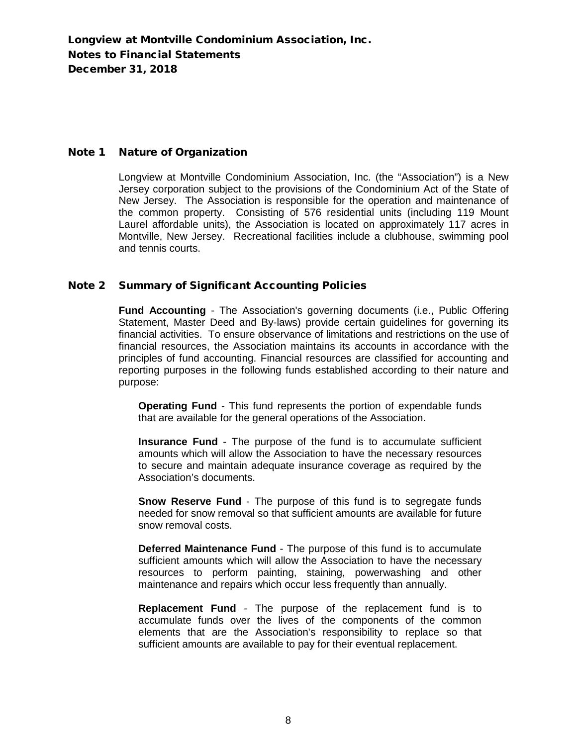#### Note 1 Nature of Organization

Longview at Montville Condominium Association, Inc. (the "Association") is a New Jersey corporation subject to the provisions of the Condominium Act of the State of New Jersey. The Association is responsible for the operation and maintenance of the common property. Consisting of 576 residential units (including 119 Mount Laurel affordable units), the Association is located on approximately 117 acres in Montville, New Jersey. Recreational facilities include a clubhouse, swimming pool and tennis courts.

#### Note 2 Summary of Significant Accounting Policies

**Fund Accounting** - The Association's governing documents (i.e., Public Offering Statement, Master Deed and By-laws) provide certain guidelines for governing its financial activities. To ensure observance of limitations and restrictions on the use of financial resources, the Association maintains its accounts in accordance with the principles of fund accounting. Financial resources are classified for accounting and reporting purposes in the following funds established according to their nature and purpose:

**Operating Fund** - This fund represents the portion of expendable funds that are available for the general operations of the Association.

**Insurance Fund** - The purpose of the fund is to accumulate sufficient amounts which will allow the Association to have the necessary resources to secure and maintain adequate insurance coverage as required by the Association's documents.

**Snow Reserve Fund** - The purpose of this fund is to segregate funds needed for snow removal so that sufficient amounts are available for future snow removal costs.

**Deferred Maintenance Fund** - The purpose of this fund is to accumulate sufficient amounts which will allow the Association to have the necessary resources to perform painting, staining, powerwashing and other maintenance and repairs which occur less frequently than annually.

**Replacement Fund** - The purpose of the replacement fund is to accumulate funds over the lives of the components of the common elements that are the Association's responsibility to replace so that sufficient amounts are available to pay for their eventual replacement.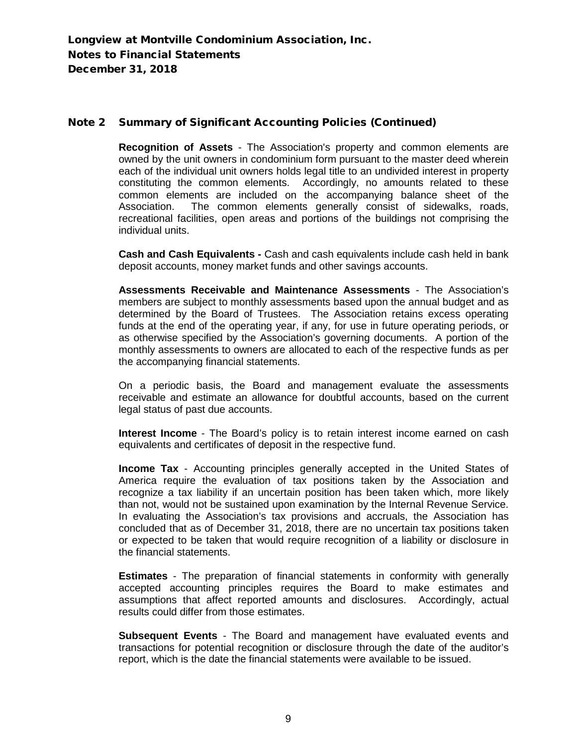#### Note 2 Summary of Significant Accounting Policies (Continued)

**Recognition of Assets** - The Association's property and common elements are owned by the unit owners in condominium form pursuant to the master deed wherein each of the individual unit owners holds legal title to an undivided interest in property constituting the common elements. Accordingly, no amounts related to these common elements are included on the accompanying balance sheet of the Association. The common elements generally consist of sidewalks, roads, recreational facilities, open areas and portions of the buildings not comprising the individual units.

**Cash and Cash Equivalents -** Cash and cash equivalents include cash held in bank deposit accounts, money market funds and other savings accounts.

**Assessments Receivable and Maintenance Assessments** - The Association's members are subject to monthly assessments based upon the annual budget and as determined by the Board of Trustees. The Association retains excess operating funds at the end of the operating year, if any, for use in future operating periods, or as otherwise specified by the Association's governing documents. A portion of the monthly assessments to owners are allocated to each of the respective funds as per the accompanying financial statements.

On a periodic basis, the Board and management evaluate the assessments receivable and estimate an allowance for doubtful accounts, based on the current legal status of past due accounts.

**Interest Income** - The Board's policy is to retain interest income earned on cash equivalents and certificates of deposit in the respective fund.

**Income Tax** - Accounting principles generally accepted in the United States of America require the evaluation of tax positions taken by the Association and recognize a tax liability if an uncertain position has been taken which, more likely than not, would not be sustained upon examination by the Internal Revenue Service. In evaluating the Association's tax provisions and accruals, the Association has concluded that as of December 31, 2018, there are no uncertain tax positions taken or expected to be taken that would require recognition of a liability or disclosure in the financial statements.

**Estimates** - The preparation of financial statements in conformity with generally accepted accounting principles requires the Board to make estimates and assumptions that affect reported amounts and disclosures. Accordingly, actual results could differ from those estimates.

**Subsequent Events** - The Board and management have evaluated events and transactions for potential recognition or disclosure through the date of the auditor's report, which is the date the financial statements were available to be issued.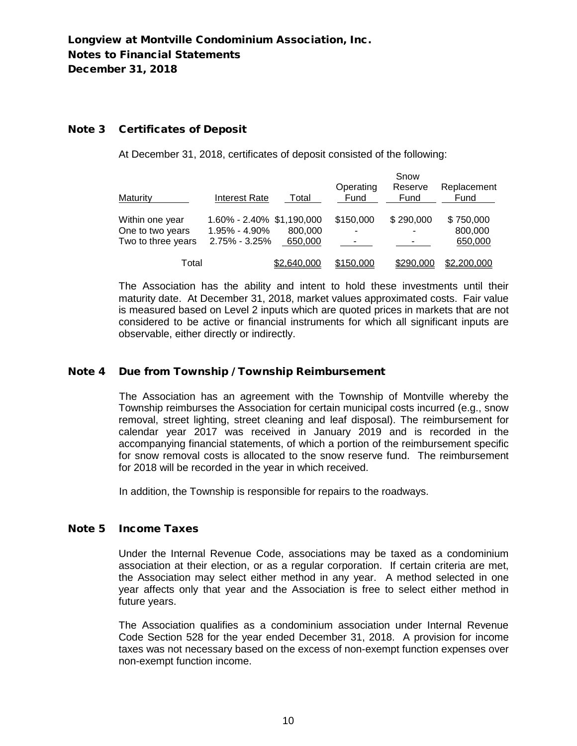### Note 3 Certificates of Deposit

At December 31, 2018, certificates of deposit consisted of the following:

|                    |                           |                    |           | Snow      |             |
|--------------------|---------------------------|--------------------|-----------|-----------|-------------|
|                    |                           |                    | Operating | Reserve   | Replacement |
| Maturity           | Interest Rate             | Total              | Fund      | Fund      | Fund        |
|                    |                           |                    |           |           |             |
| Within one year    | 1.60% - 2.40% \$1,190,000 |                    | \$150,000 | \$290,000 | \$750,000   |
| One to two years   | $1.95\% - 4.90\%$         | 800,000            |           |           | 800,000     |
| Two to three years | $2.75\% - 3.25\%$         | 650,000            | ٠         |           | 650,000     |
|                    |                           |                    |           |           |             |
| Total              |                           | <u>\$2,640,000</u> | \$150,000 | \$290,000 | \$2,200,000 |

The Association has the ability and intent to hold these investments until their maturity date. At December 31, 2018, market values approximated costs. Fair value is measured based on Level 2 inputs which are quoted prices in markets that are not considered to be active or financial instruments for which all significant inputs are observable, either directly or indirectly.

### Note 4 Due from Township / Township Reimbursement

The Association has an agreement with the Township of Montville whereby the Township reimburses the Association for certain municipal costs incurred (e.g., snow removal, street lighting, street cleaning and leaf disposal). The reimbursement for calendar year 2017 was received in January 2019 and is recorded in the accompanying financial statements, of which a portion of the reimbursement specific for snow removal costs is allocated to the snow reserve fund. The reimbursement for 2018 will be recorded in the year in which received.

In addition, the Township is responsible for repairs to the roadways.

#### Note 5 Income Taxes

Under the Internal Revenue Code, associations may be taxed as a condominium association at their election, or as a regular corporation. If certain criteria are met, the Association may select either method in any year. A method selected in one year affects only that year and the Association is free to select either method in future years.

The Association qualifies as a condominium association under Internal Revenue Code Section 528 for the year ended December 31, 2018. A provision for income taxes was not necessary based on the excess of non-exempt function expenses over non-exempt function income.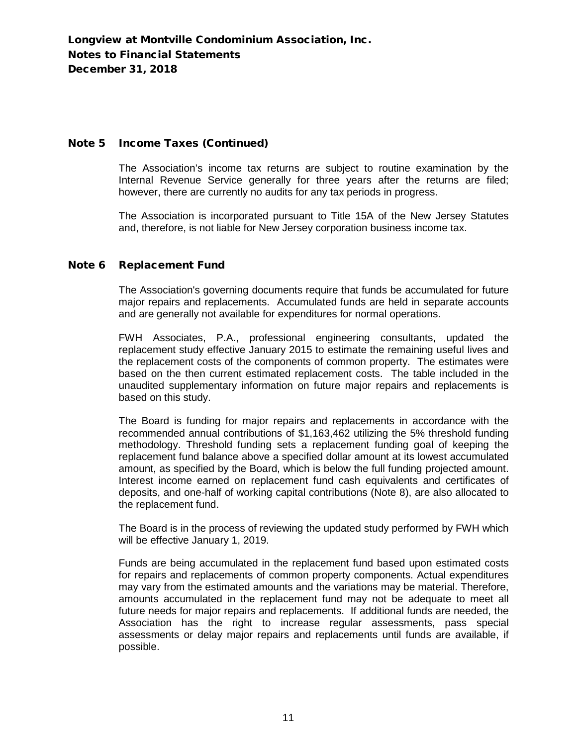### Note 5 Income Taxes (Continued)

The Association's income tax returns are subject to routine examination by the Internal Revenue Service generally for three years after the returns are filed; however, there are currently no audits for any tax periods in progress.

The Association is incorporated pursuant to Title 15A of the New Jersey Statutes and, therefore, is not liable for New Jersey corporation business income tax.

#### Note 6 Replacement Fund

The Association's governing documents require that funds be accumulated for future major repairs and replacements. Accumulated funds are held in separate accounts and are generally not available for expenditures for normal operations.

FWH Associates, P.A., professional engineering consultants, updated the replacement study effective January 2015 to estimate the remaining useful lives and the replacement costs of the components of common property. The estimates were based on the then current estimated replacement costs. The table included in the unaudited supplementary information on future major repairs and replacements is based on this study.

The Board is funding for major repairs and replacements in accordance with the recommended annual contributions of \$1,163,462 utilizing the 5% threshold funding methodology. Threshold funding sets a replacement funding goal of keeping the replacement fund balance above a specified dollar amount at its lowest accumulated amount, as specified by the Board, which is below the full funding projected amount. Interest income earned on replacement fund cash equivalents and certificates of deposits, and one-half of working capital contributions (Note 8), are also allocated to the replacement fund.

The Board is in the process of reviewing the updated study performed by FWH which will be effective January 1, 2019.

Funds are being accumulated in the replacement fund based upon estimated costs for repairs and replacements of common property components. Actual expenditures may vary from the estimated amounts and the variations may be material. Therefore, amounts accumulated in the replacement fund may not be adequate to meet all future needs for major repairs and replacements. If additional funds are needed, the Association has the right to increase regular assessments, pass special assessments or delay major repairs and replacements until funds are available, if possible.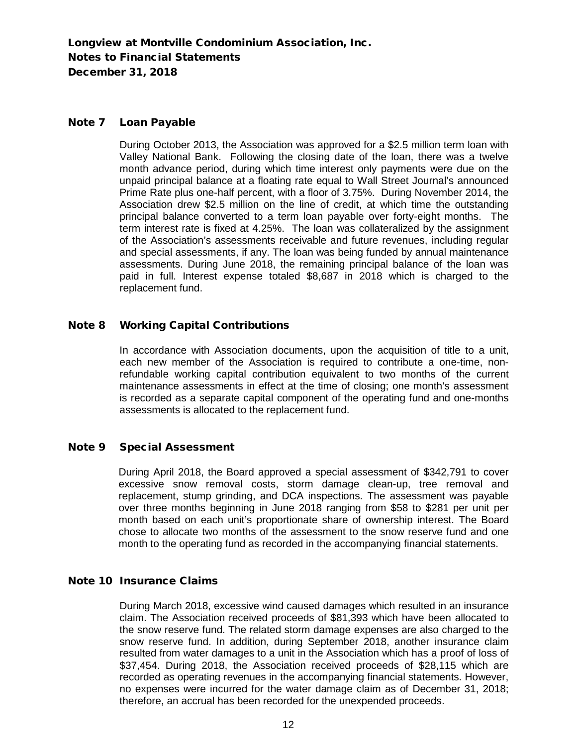#### Note 7 Loan Payable

During October 2013, the Association was approved for a \$2.5 million term loan with Valley National Bank. Following the closing date of the loan, there was a twelve month advance period, during which time interest only payments were due on the unpaid principal balance at a floating rate equal to Wall Street Journal's announced Prime Rate plus one-half percent, with a floor of 3.75%. During November 2014, the Association drew \$2.5 million on the line of credit, at which time the outstanding principal balance converted to a term loan payable over forty-eight months. The term interest rate is fixed at 4.25%. The loan was collateralized by the assignment of the Association's assessments receivable and future revenues, including regular and special assessments, if any. The loan was being funded by annual maintenance assessments. During June 2018, the remaining principal balance of the loan was paid in full. Interest expense totaled \$8,687 in 2018 which is charged to the replacement fund.

#### Note 8 Working Capital Contributions

In accordance with Association documents, upon the acquisition of title to a unit, each new member of the Association is required to contribute a one-time, nonrefundable working capital contribution equivalent to two months of the current maintenance assessments in effect at the time of closing; one month's assessment is recorded as a separate capital component of the operating fund and one-months assessments is allocated to the replacement fund.

#### Note 9 Special Assessment

During April 2018, the Board approved a special assessment of \$342,791 to cover excessive snow removal costs, storm damage clean-up, tree removal and replacement, stump grinding, and DCA inspections. The assessment was payable over three months beginning in June 2018 ranging from \$58 to \$281 per unit per month based on each unit's proportionate share of ownership interest. The Board chose to allocate two months of the assessment to the snow reserve fund and one month to the operating fund as recorded in the accompanying financial statements.

#### Note 10 Insurance Claims

During March 2018, excessive wind caused damages which resulted in an insurance claim. The Association received proceeds of \$81,393 which have been allocated to the snow reserve fund. The related storm damage expenses are also charged to the snow reserve fund. In addition, during September 2018, another insurance claim resulted from water damages to a unit in the Association which has a proof of loss of \$37,454. During 2018, the Association received proceeds of \$28,115 which are recorded as operating revenues in the accompanying financial statements. However, no expenses were incurred for the water damage claim as of December 31, 2018; therefore, an accrual has been recorded for the unexpended proceeds.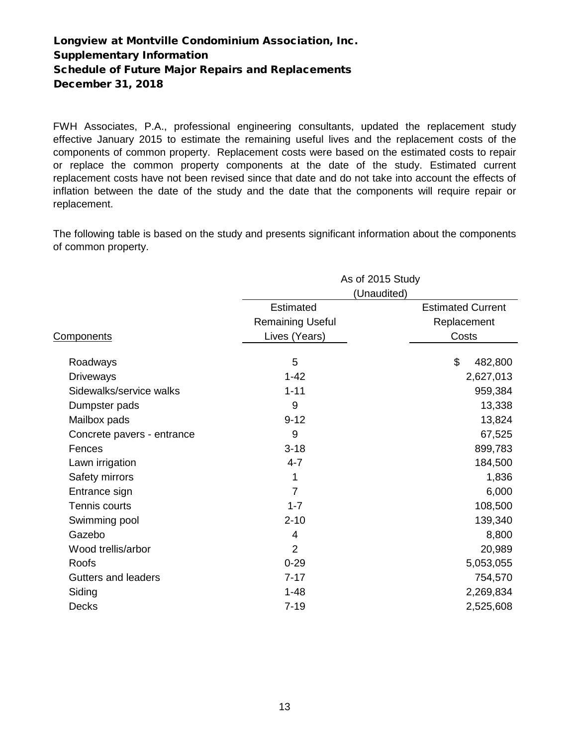## Supplementary Information Longview at Montville Condominium Association, Inc. Schedule of Future Major Repairs and Replacements December 31, 2018

FWH Associates, P.A., professional engineering consultants, updated the replacement study effective January 2015 to estimate the remaining useful lives and the replacement costs of the components of common property. Replacement costs were based on the estimated costs to repair or replace the common property components at the date of the study. Estimated current replacement costs have not been revised since that date and do not take into account the effects of inflation between the date of the study and the date that the components will require repair or replacement.

The following table is based on the study and presents significant information about the components of common property.

|                            |                                             | As of 2015 Study<br>(Unaudited)         |
|----------------------------|---------------------------------------------|-----------------------------------------|
|                            | <b>Estimated</b><br><b>Remaining Useful</b> | <b>Estimated Current</b><br>Replacement |
| <b>Components</b>          | Lives (Years)                               | Costs                                   |
| Roadways                   | 5                                           | \$<br>482,800                           |
| <b>Driveways</b>           | $1 - 42$                                    | 2,627,013                               |
| Sidewalks/service walks    | $1 - 11$                                    | 959,384                                 |
| Dumpster pads              | 9                                           | 13,338                                  |
| Mailbox pads               | $9 - 12$                                    | 13,824                                  |
| Concrete pavers - entrance | 9                                           | 67,525                                  |
| Fences                     | $3 - 18$                                    | 899,783                                 |
| Lawn irrigation            | $4 - 7$                                     | 184,500                                 |
| Safety mirrors             | 1                                           | 1,836                                   |
| Entrance sign              | $\overline{7}$                              | 6,000                                   |
| <b>Tennis courts</b>       | $1 - 7$                                     | 108,500                                 |
| Swimming pool              | $2 - 10$                                    | 139,340                                 |
| Gazebo                     | 4                                           | 8,800                                   |
| Wood trellis/arbor         | $\overline{2}$                              | 20,989                                  |
| Roofs                      | $0 - 29$                                    | 5,053,055                               |
| Gutters and leaders        | $7 - 17$                                    | 754,570                                 |
| Siding                     | $1 - 48$                                    | 2,269,834                               |
| <b>Decks</b>               | $7 - 19$                                    | 2,525,608                               |
|                            |                                             |                                         |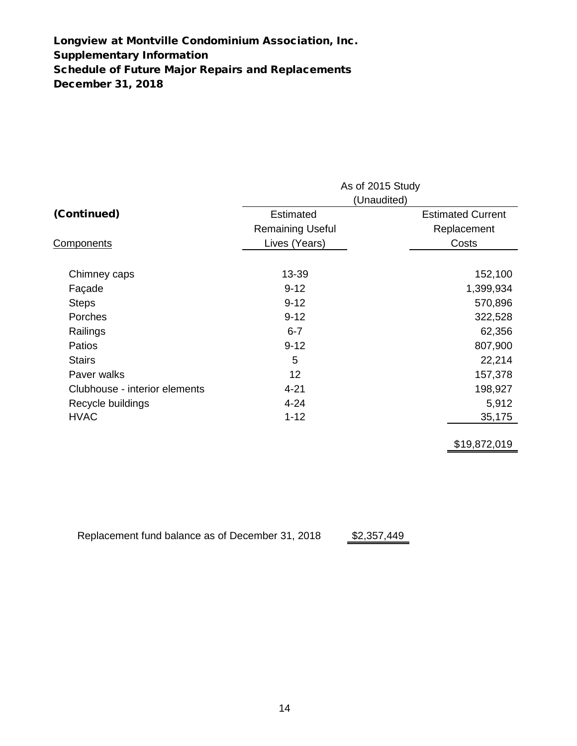Schedule of Future Major Repairs and Replacements Supplementary Information Longview at Montville Condominium Association, Inc. December 31, 2018

|                               | As of 2015 Study        |                          |  |  |  |
|-------------------------------|-------------------------|--------------------------|--|--|--|
|                               |                         | (Unaudited)              |  |  |  |
| (Continued)                   | <b>Estimated</b>        | <b>Estimated Current</b> |  |  |  |
|                               | <b>Remaining Useful</b> | Replacement              |  |  |  |
| <b>Components</b>             | Lives (Years)           | Costs                    |  |  |  |
|                               |                         |                          |  |  |  |
| Chimney caps                  | 13-39                   | 152,100                  |  |  |  |
| Façade                        | $9 - 12$                | 1,399,934                |  |  |  |
| <b>Steps</b>                  | $9 - 12$                | 570,896                  |  |  |  |
| Porches                       | $9 - 12$                | 322,528                  |  |  |  |
| Railings                      | $6 - 7$                 | 62,356                   |  |  |  |
| <b>Patios</b>                 | $9 - 12$                | 807,900                  |  |  |  |
| <b>Stairs</b>                 | 5                       | 22,214                   |  |  |  |
| Paver walks                   | 12                      | 157,378                  |  |  |  |
| Clubhouse - interior elements | $4 - 21$                | 198,927                  |  |  |  |
| Recycle buildings             | $4 - 24$                | 5,912                    |  |  |  |
| <b>HVAC</b>                   | $1 - 12$                | 35,175                   |  |  |  |
|                               |                         | \$19,872,019             |  |  |  |

| Replacement fund balance as of December 31, 2018 | \$2,357,449 |
|--------------------------------------------------|-------------|
|--------------------------------------------------|-------------|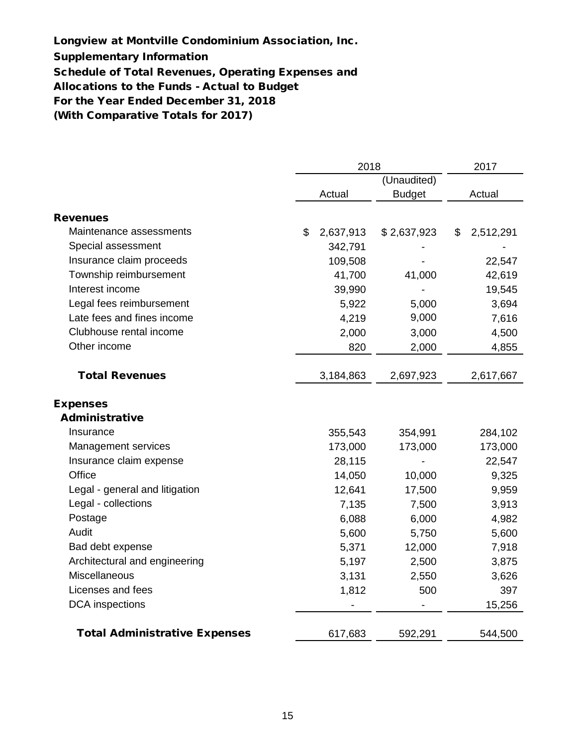Longview at Montville Condominium Association, Inc.

Supplementary Information

Schedule of Total Revenues, Operating Expenses and

Allocations to the Funds - Actual to Budget

For the Year Ended December 31, 2018

(With Comparative Totals for 2017)

|                                      | 2018            | 2017          |    |           |
|--------------------------------------|-----------------|---------------|----|-----------|
|                                      |                 | (Unaudited)   |    |           |
|                                      | Actual          | <b>Budget</b> |    | Actual    |
| <b>Revenues</b>                      |                 |               |    |           |
| Maintenance assessments              | \$<br>2,637,913 | \$2,637,923   | \$ | 2,512,291 |
| Special assessment                   | 342,791         |               |    |           |
| Insurance claim proceeds             | 109,508         |               |    | 22,547    |
| Township reimbursement               | 41,700          | 41,000        |    | 42,619    |
| Interest income                      | 39,990          |               |    | 19,545    |
| Legal fees reimbursement             | 5,922           | 5,000         |    | 3,694     |
| Late fees and fines income           | 4,219           | 9,000         |    | 7,616     |
| Clubhouse rental income              | 2,000           | 3,000         |    | 4,500     |
| Other income                         | 820             | 2,000         |    | 4,855     |
| <b>Total Revenues</b>                | 3,184,863       | 2,697,923     |    | 2,617,667 |
|                                      |                 |               |    |           |
| <b>Expenses</b>                      |                 |               |    |           |
| <b>Administrative</b>                |                 |               |    |           |
| Insurance                            | 355,543         | 354,991       |    | 284,102   |
| Management services                  | 173,000         | 173,000       |    | 173,000   |
| Insurance claim expense              | 28,115          |               |    | 22,547    |
| Office                               | 14,050          | 10,000        |    | 9,325     |
| Legal - general and litigation       | 12,641          | 17,500        |    | 9,959     |
| Legal - collections                  | 7,135           | 7,500         |    | 3,913     |
| Postage                              | 6,088           | 6,000         |    | 4,982     |
| Audit                                | 5,600           | 5,750         |    | 5,600     |
| Bad debt expense                     | 5,371           | 12,000        |    | 7,918     |
| Architectural and engineering        | 5,197           | 2,500         |    | 3,875     |
| <b>Miscellaneous</b>                 | 3,131           | 2,550         |    | 3,626     |
| Licenses and fees                    | 1,812           | 500           |    | 397       |
| <b>DCA</b> inspections               |                 |               |    | 15,256    |
| <b>Total Administrative Expenses</b> | 617,683         | 592,291       |    | 544,500   |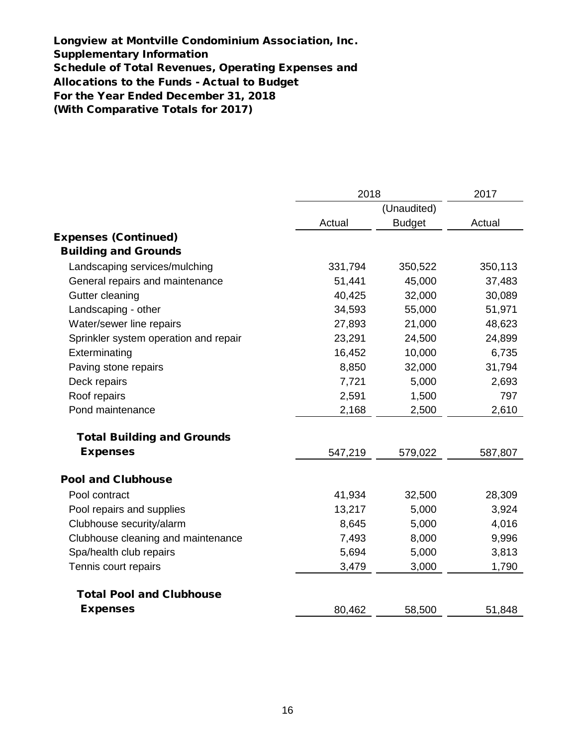Supplementary Information Allocations to the Funds - Actual to Budget (With Comparative Totals for 2017) Schedule of Total Revenues, Operating Expenses and For the Year Ended December 31, 2018 Longview at Montville Condominium Association, Inc.

|                                       | 2018    |               | 2017    |
|---------------------------------------|---------|---------------|---------|
|                                       |         | (Unaudited)   |         |
|                                       | Actual  | <b>Budget</b> | Actual  |
| <b>Expenses (Continued)</b>           |         |               |         |
| <b>Building and Grounds</b>           |         |               |         |
| Landscaping services/mulching         | 331,794 | 350,522       | 350,113 |
| General repairs and maintenance       | 51,441  | 45,000        | 37,483  |
| Gutter cleaning                       | 40,425  | 32,000        | 30,089  |
| Landscaping - other                   | 34,593  | 55,000        | 51,971  |
| Water/sewer line repairs              | 27,893  | 21,000        | 48,623  |
| Sprinkler system operation and repair | 23,291  | 24,500        | 24,899  |
| Exterminating                         | 16,452  | 10,000        | 6,735   |
| Paving stone repairs                  | 8,850   | 32,000        | 31,794  |
| Deck repairs                          | 7,721   | 5,000         | 2,693   |
| Roof repairs                          | 2,591   | 1,500         | 797     |
| Pond maintenance                      | 2,168   | 2,500         | 2,610   |
| <b>Total Building and Grounds</b>     |         |               |         |
| <b>Expenses</b>                       | 547,219 | 579,022       | 587,807 |
| <b>Pool and Clubhouse</b>             |         |               |         |
| Pool contract                         | 41,934  | 32,500        | 28,309  |
| Pool repairs and supplies             | 13,217  | 5,000         | 3,924   |
| Clubhouse security/alarm              | 8,645   | 5,000         | 4,016   |
| Clubhouse cleaning and maintenance    | 7,493   | 8,000         | 9,996   |
| Spa/health club repairs               | 5,694   | 5,000         | 3,813   |
| Tennis court repairs                  | 3,479   | 3,000         | 1,790   |
| <b>Total Pool and Clubhouse</b>       |         |               |         |
| <b>Expenses</b>                       | 80,462  | 58,500        | 51,848  |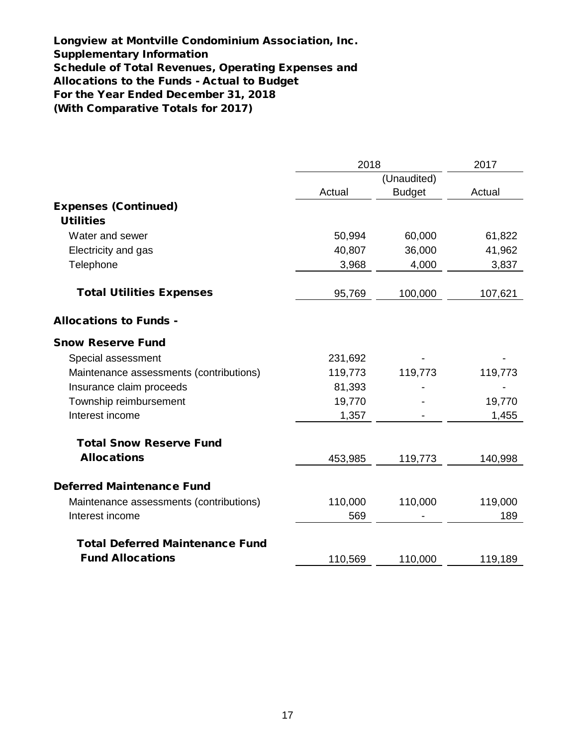Allocations to the Funds - Actual to Budget Schedule of Total Revenues, Operating Expenses and For the Year Ended December 31, 2018 Supplementary Information Longview at Montville Condominium Association, Inc. (With Comparative Totals for 2017)

|                                         | 2018    | 2017          |         |
|-----------------------------------------|---------|---------------|---------|
|                                         |         |               |         |
|                                         | Actual  | <b>Budget</b> | Actual  |
| <b>Expenses (Continued)</b>             |         |               |         |
| <b>Utilities</b>                        |         |               |         |
| Water and sewer                         | 50,994  | 60,000        | 61,822  |
| Electricity and gas                     | 40,807  | 36,000        | 41,962  |
| Telephone                               | 3,968   | 4,000         | 3,837   |
| <b>Total Utilities Expenses</b>         | 95,769  | 100,000       | 107,621 |
| <b>Allocations to Funds -</b>           |         |               |         |
| <b>Snow Reserve Fund</b>                |         |               |         |
| Special assessment                      | 231,692 |               |         |
| Maintenance assessments (contributions) | 119,773 | 119,773       | 119,773 |
| Insurance claim proceeds                | 81,393  |               |         |
| Township reimbursement                  | 19,770  |               | 19,770  |
| Interest income                         | 1,357   |               | 1,455   |
| <b>Total Snow Reserve Fund</b>          |         |               |         |
| <b>Allocations</b>                      | 453,985 | 119,773       | 140,998 |
| <b>Deferred Maintenance Fund</b>        |         |               |         |
| Maintenance assessments (contributions) | 110,000 | 110,000       | 119,000 |
| Interest income                         | 569     |               | 189     |
| <b>Total Deferred Maintenance Fund</b>  |         |               |         |
| <b>Fund Allocations</b>                 | 110,569 | 110,000       | 119,189 |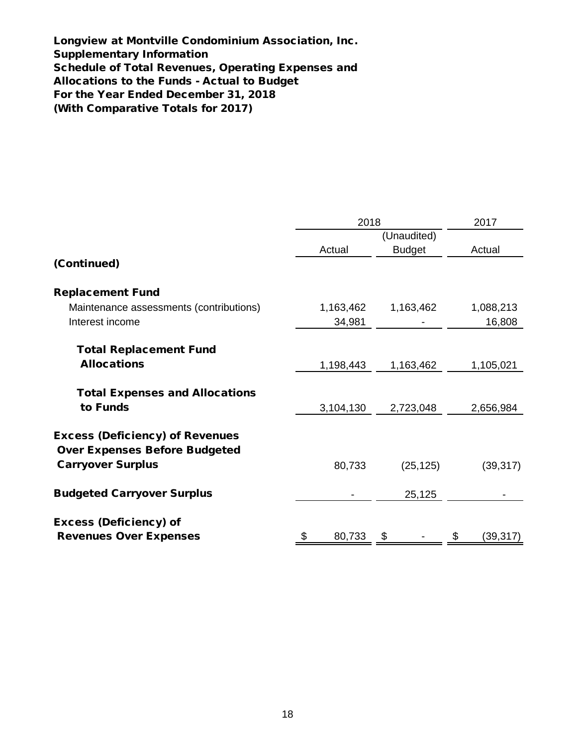Supplementary Information Allocations to the Funds - Actual to Budget Longview at Montville Condominium Association, Inc. Schedule of Total Revenues, Operating Expenses and For the Year Ended December 31, 2018 (With Comparative Totals for 2017)

|                                                                                | 2018 |             |               | 2017 |           |
|--------------------------------------------------------------------------------|------|-------------|---------------|------|-----------|
|                                                                                |      | (Unaudited) |               |      |           |
|                                                                                |      | Actual      | <b>Budget</b> |      | Actual    |
| (Continued)                                                                    |      |             |               |      |           |
| <b>Replacement Fund</b>                                                        |      |             |               |      |           |
| Maintenance assessments (contributions)                                        |      | 1,163,462   | 1,163,462     |      | 1,088,213 |
| Interest income                                                                |      | 34,981      |               |      | 16,808    |
|                                                                                |      |             |               |      |           |
| <b>Total Replacement Fund</b>                                                  |      |             |               |      |           |
| <b>Allocations</b>                                                             |      | 1,198,443   | 1,163,462     |      | 1,105,021 |
| <b>Total Expenses and Allocations</b>                                          |      |             |               |      |           |
| to Funds                                                                       |      | 3,104,130   | 2,723,048     |      | 2,656,984 |
| <b>Excess (Deficiency) of Revenues</b><br><b>Over Expenses Before Budgeted</b> |      |             |               |      |           |
| <b>Carryover Surplus</b>                                                       |      | 80,733      | (25, 125)     |      | (39, 317) |
| <b>Budgeted Carryover Surplus</b>                                              |      |             | 25,125        |      |           |
| <b>Excess (Deficiency) of</b>                                                  |      |             |               |      |           |
| <b>Revenues Over Expenses</b>                                                  |      | 80,733      | \$            |      | (39,317)  |
|                                                                                |      |             |               |      |           |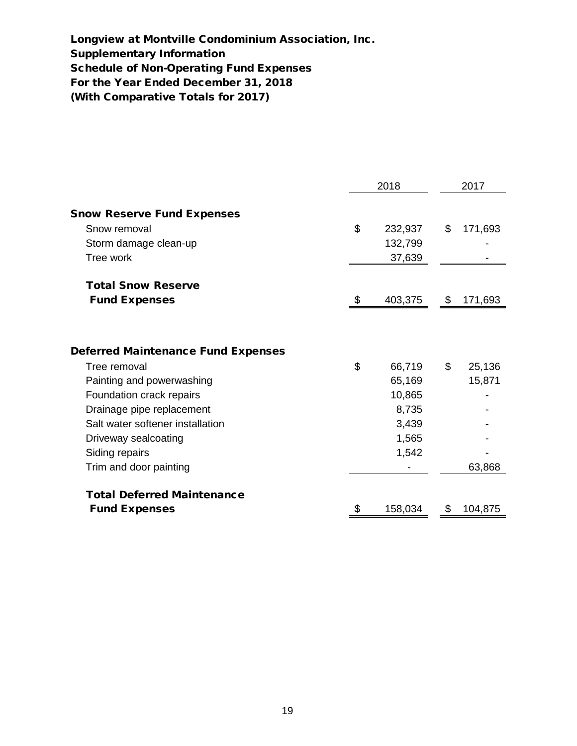For the Year Ended December 31, 2018 Longview at Montville Condominium Association, Inc. Schedule of Non-Operating Fund Expenses (With Comparative Totals for 2017) Supplementary Information

|                                                                                         | 2018 |                              |    | 2017    |  |
|-----------------------------------------------------------------------------------------|------|------------------------------|----|---------|--|
| <b>Snow Reserve Fund Expenses</b><br>Snow removal<br>Storm damage clean-up<br>Tree work | \$   | 232,937<br>132,799<br>37,639 | \$ | 171,693 |  |
| <b>Total Snow Reserve</b><br><b>Fund Expenses</b>                                       |      | 403,375                      | \$ | 171,693 |  |
| <b>Deferred Maintenance Fund Expenses</b><br>Tree removal                               | \$   | 66,719                       | \$ | 25,136  |  |
| Painting and powerwashing<br>Foundation crack repairs<br>Drainage pipe replacement      |      | 65,169<br>10,865<br>8,735    |    | 15,871  |  |
| Salt water softener installation<br>Driveway sealcoating<br>Siding repairs              |      | 3,439<br>1,565<br>1,542      |    |         |  |
| Trim and door painting                                                                  |      |                              |    | 63,868  |  |
| <b>Total Deferred Maintenance</b><br><b>Fund Expenses</b>                               |      | 158,034                      | S  | 104,875 |  |